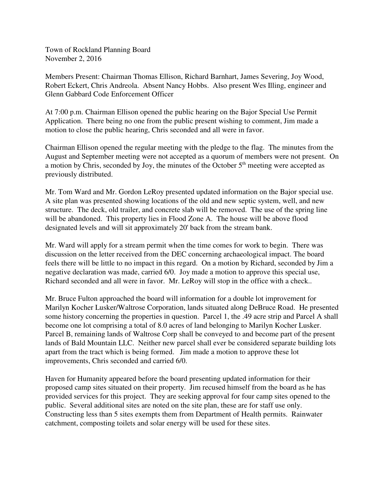Town of Rockland Planning Board November 2, 2016

Members Present: Chairman Thomas Ellison, Richard Barnhart, James Severing, Joy Wood, Robert Eckert, Chris Andreola. Absent Nancy Hobbs. Also present Wes Illing, engineer and Glenn Gabbard Code Enforcement Officer

At 7:00 p.m. Chairman Ellison opened the public hearing on the Bajor Special Use Permit Application. There being no one from the public present wishing to comment, Jim made a motion to close the public hearing, Chris seconded and all were in favor.

Chairman Ellison opened the regular meeting with the pledge to the flag. The minutes from the August and September meeting were not accepted as a quorum of members were not present. On a motion by Chris, seconded by Joy, the minutes of the October  $5<sup>th</sup>$  meeting were accepted as previously distributed.

Mr. Tom Ward and Mr. Gordon LeRoy presented updated information on the Bajor special use. A site plan was presented showing locations of the old and new septic system, well, and new structure. The deck, old trailer, and concrete slab will be removed. The use of the spring line will be abandoned. This property lies in Flood Zone A. The house will be above flood designated levels and will sit approximately 20' back from the stream bank.

Mr. Ward will apply for a stream permit when the time comes for work to begin. There was discussion on the letter received from the DEC concerning archaeological impact. The board feels there will be little to no impact in this regard. On a motion by Richard, seconded by Jim a negative declaration was made, carried 6/0. Joy made a motion to approve this special use, Richard seconded and all were in favor. Mr. LeRoy will stop in the office with a check..

Mr. Bruce Fulton approached the board will information for a double lot improvement for Marilyn Kocher Lusker/Waltrose Corporation, lands situated along DeBruce Road. He presented some history concerning the properties in question. Parcel 1, the .49 acre strip and Parcel A shall become one lot comprising a total of 8.0 acres of land belonging to Marilyn Kocher Lusker. Parcel B, remaining lands of Waltrose Corp shall be conveyed to and become part of the present lands of Bald Mountain LLC. Neither new parcel shall ever be considered separate building lots apart from the tract which is being formed. Jim made a motion to approve these lot improvements, Chris seconded and carried 6/0.

Haven for Humanity appeared before the board presenting updated information for their proposed camp sites situated on their property. Jim recused himself from the board as he has provided services for this project. They are seeking approval for four camp sites opened to the public. Several additional sites are noted on the site plan, these are for staff use only. Constructing less than 5 sites exempts them from Department of Health permits. Rainwater catchment, composting toilets and solar energy will be used for these sites.